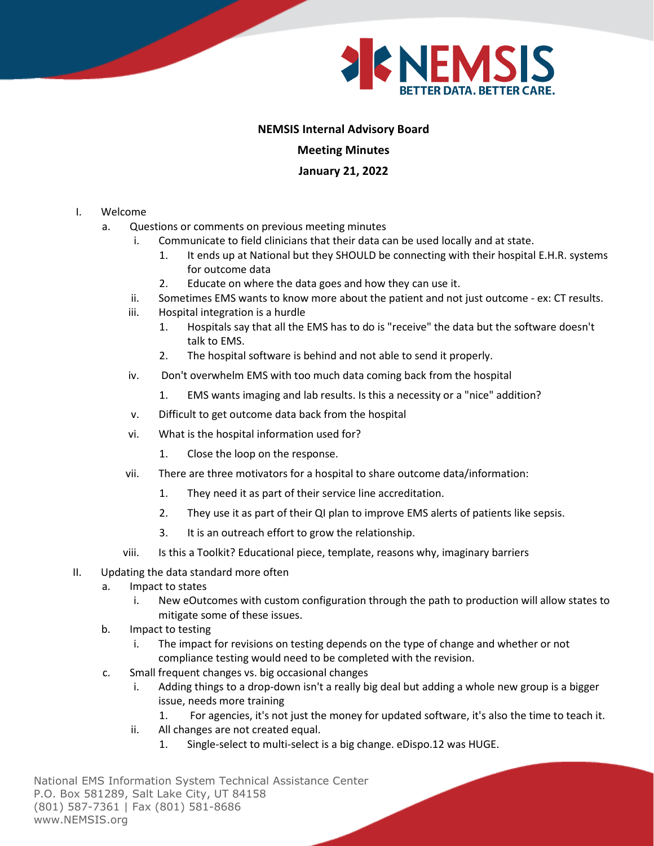

## **NEMSIS Internal Advisory Board**

## **Meeting Minutes**

## **January 21, 2022**

- I. Welcome
	- a. Questions or comments on previous meeting minutes
		- i. Communicate to field clinicians that their data can be used locally and at state.
			- 1. It ends up at National but they SHOULD be connecting with their hospital E.H.R. systems for outcome data
			- 2. Educate on where the data goes and how they can use it.
		- ii. Sometimes EMS wants to know more about the patient and not just outcome ex: CT results.
		- iii. Hospital integration is a hurdle
			- 1. Hospitals say that all the EMS has to do is "receive" the data but the software doesn't talk to EMS.
			- 2. The hospital software is behind and not able to send it properly.
		- iv. Don't overwhelm EMS with too much data coming back from the hospital
			- 1. EMS wants imaging and lab results. Is this a necessity or a "nice" addition?
		- v. Difficult to get outcome data back from the hospital
		- vi. What is the hospital information used for?
			- 1. Close the loop on the response.
		- vii. There are three motivators for a hospital to share outcome data/information:
			- 1. They need it as part of their service line accreditation.
			- 2. They use it as part of their QI plan to improve EMS alerts of patients like sepsis.
			- 3. It is an outreach effort to grow the relationship.
		- viii. Is this a Toolkit? Educational piece, template, reasons why, imaginary barriers
- II. Updating the data standard more often
	- a. Impact to states
		- i. New eOutcomes with custom configuration through the path to production will allow states to mitigate some of these issues.
	- b. Impact to testing
		- i. The impact for revisions on testing depends on the type of change and whether or not compliance testing would need to be completed with the revision.
	- c. Small frequent changes vs. big occasional changes
		- i. Adding things to a drop-down isn't a really big deal but adding a whole new group is a bigger issue, needs more training
			- 1. For agencies, it's not just the money for updated software, it's also the time to teach it.
		- ii. All changes are not created equal.
			- 1. Single-select to multi-select is a big change. eDispo.12 was HUGE.

National EMS Information System Technical Assistance Center P.O. Box 581289, Salt Lake City, UT 84158 (801) 587-7361 | Fax (801) 581-8686 www.NEMSIS.org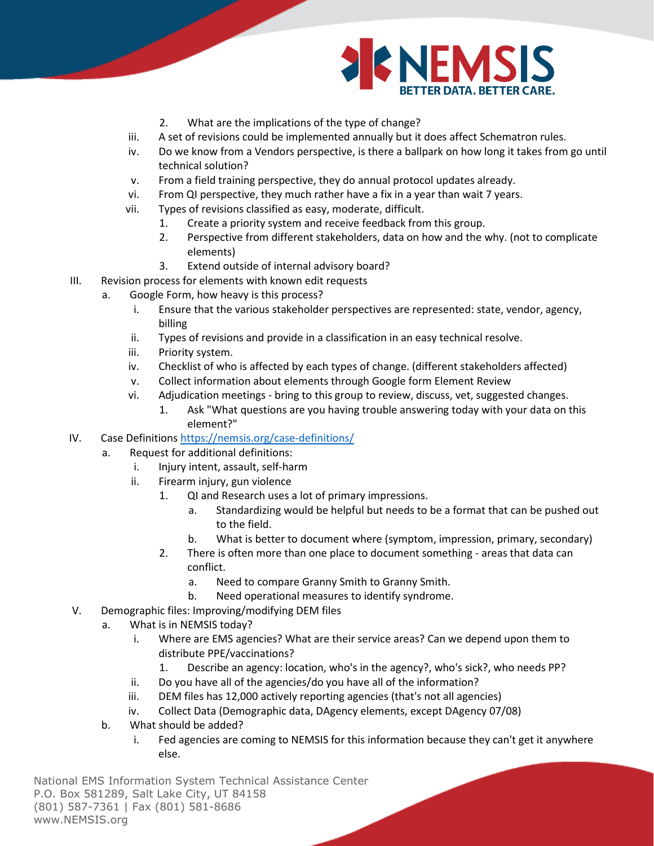

- 2. What are the implications of the type of change?
- iii. A set of revisions could be implemented annually but it does affect Schematron rules.
- iv. Do we know from a Vendors perspective, is there a ballpark on how long it takes from go until technical solution?
- v. From a field training perspective, they do annual protocol updates already.
- vi. From QI perspective, they much rather have a fix in a year than wait 7 years.
- vii. Types of revisions classified as easy, moderate, difficult.
	- 1. Create a priority system and receive feedback from this group.
	- 2. Perspective from different stakeholders, data on how and the why. (not to complicate elements)
	- 3. Extend outside of internal advisory board?
- III. Revision process for elements with known edit requests
	- a. Google Form, how heavy is this process?
		- i. Ensure that the various stakeholder perspectives are represented: state, vendor, agency, billing
		- ii. Types of revisions and provide in a classification in an easy technical resolve.
		- iii. Priority system.
		- iv. Checklist of who is affected by each types of change. (different stakeholders affected)
		- v. Collect information about elements through Google form Element Review
		- vi. Adjudication meetings bring to this group to review, discuss, vet, suggested changes.
			- 1. Ask "What questions are you having trouble answering today with your data on this element?"
- IV. Case Definitions<https://nemsis.org/case-definitions/>
	- a. Request for additional definitions:
		- i. Injury intent, assault, self-harm
		- ii. Firearm injury, gun violence
			- 1. QI and Research uses a lot of primary impressions.
				- a. Standardizing would be helpful but needs to be a format that can be pushed out to the field.
				- b. What is better to document where (symptom, impression, primary, secondary)
			- 2. There is often more than one place to document something areas that data can conflict.
				- a. Need to compare Granny Smith to Granny Smith.
				- b. Need operational measures to identify syndrome.
- V. Demographic files: Improving/modifying DEM files
	- a. What is in NEMSIS today?
		- i. Where are EMS agencies? What are their service areas? Can we depend upon them to distribute PPE/vaccinations?
			- 1. Describe an agency: location, who's in the agency?, who's sick?, who needs PP?
		- ii. Do you have all of the agencies/do you have all of the information?
		- iii. DEM files has 12,000 actively reporting agencies (that's not all agencies)
		- iv. Collect Data (Demographic data, DAgency elements, except DAgency 07/08)
	- b. What should be added?
		- i. Fed agencies are coming to NEMSIS for this information because they can't get it anywhere else.

National EMS Information System Technical Assistance Center P.O. Box 581289, Salt Lake City, UT 84158 (801) 587-7361 | Fax (801) 581-8686 www.NEMSIS.org